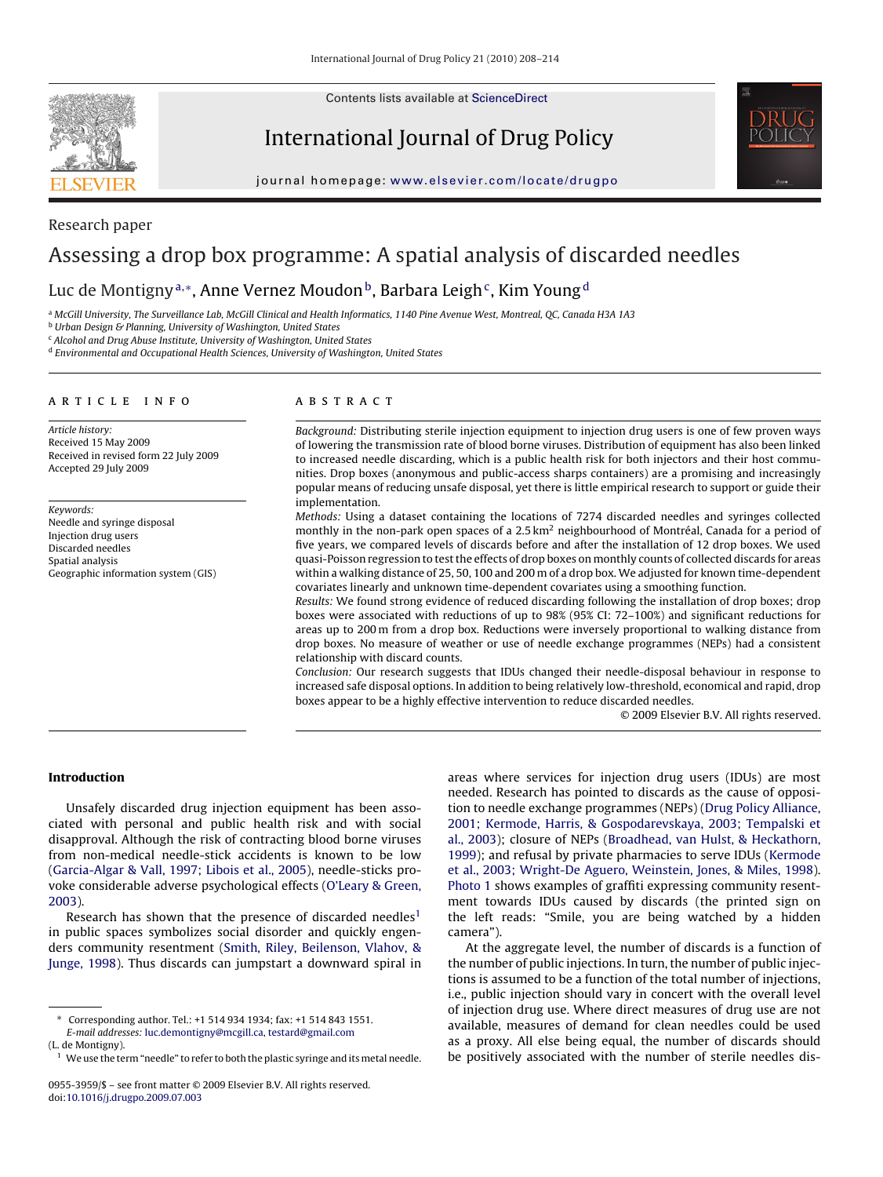Contents lists available at [ScienceDirect](http://www.sciencedirect.com/science/journal/09553959)



Research paper

International Journal of Drug Policy



journal homepage: [www.elsevier.com/locate/drugpo](http://www.elsevier.com/locate/drugpo)

# Assessing a drop box programme: A spatial analysis of discarded needles

Luc de Montigny<sup>a,\*</sup>, Anne Vernez Moudon<sup>b</sup>, Barbara Leigh<sup>c</sup>, Kim Young<sup>d</sup>

<sup>a</sup> McGill University, The Surveillance Lab, McGill Clinical and Health Informatics, 1140 Pine Avenue West, Montreal, QC, Canada H3A 1A3

**b Urban Design & Planning, University of Washington, United States** 

<sup>c</sup> Alcohol and Drug Abuse Institute, University of Washington, United States

<sup>d</sup> Environmental and Occupational Health Sciences, University of Washington, United States

# article info

Article history: Received 15 May 2009 Received in revised form 22 July 2009 Accepted 29 July 2009

Keywords: Needle and syringe disposal Injection drug users Discarded needles Spatial analysis Geographic information system (GIS)

# abstract

Background: Distributing sterile injection equipment to injection drug users is one of few proven ways of lowering the transmission rate of blood borne viruses. Distribution of equipment has also been linked to increased needle discarding, which is a public health risk for both injectors and their host communities. Drop boxes (anonymous and public-access sharps containers) are a promising and increasingly popular means of reducing unsafe disposal, yet there is little empirical research to support or guide their implementation.

Methods: Using a dataset containing the locations of 7274 discarded needles and syringes collected monthly in the non-park open spaces of a 2.5 km<sup>2</sup> neighbourhood of Montréal, Canada for a period of five years, we compared levels of discards before and after the installation of 12 drop boxes. We used quasi-Poisson regression to test the effects of drop boxes on monthly counts of collected discards for areas within a walking distance of 25, 50, 100 and 200 m of a drop box. We adjusted for known time-dependent covariates linearly and unknown time-dependent covariates using a smoothing function.

Results: We found strong evidence of reduced discarding following the installation of drop boxes; drop boxes were associated with reductions of up to 98% (95% CI: 72–100%) and significant reductions for areas up to 200 m from a drop box. Reductions were inversely proportional to walking distance from drop boxes. No measure of weather or use of needle exchange programmes (NEPs) had a consistent relationship with discard counts.

Conclusion: Our research suggests that IDUs changed their needle-disposal behaviour in response to increased safe disposal options. In addition to being relatively low-threshold, economical and rapid, drop boxes appear to be a highly effective intervention to reduce discarded needles.

© 2009 Elsevier B.V. All rights reserved.

# **Introduction**

Unsafely discarded drug injection equipment has been associated with personal and public health risk and with social disapproval. Although the risk of contracting blood borne viruses from non-medical needle-stick accidents is known to be low ([Garcia-Algar & Vall, 1997; Libois et al., 2005\),](#page-6-0) needle-sticks provoke considerable adverse psychological effects [\(O'Leary & Green,](#page-6-0) [2003\).](#page-6-0)

Research has shown that the presence of discarded needles<sup>1</sup> in public spaces symbolizes social disorder and quickly engenders community resentment [\(Smith, Riley, Beilenson, Vlahov, &](#page-6-0) [Junge, 1998\).](#page-6-0) Thus discards can jumpstart a downward spiral in areas where services for injection drug users (IDUs) are most needed. Research has pointed to discards as the cause of opposition to needle exchange programmes (NEPs) ([Drug Policy Alliance,](#page-6-0) [2001; Kermode, Harris, & Gospodarevskaya, 2003; Tempalski et](#page-6-0) [al., 2003\);](#page-6-0) closure of NEPs [\(Broadhead, van Hulst, & Heckathorn,](#page-6-0) [1999\);](#page-6-0) and refusal by private pharmacies to serve IDUs ([Kermode](#page-6-0) [et al., 2003; Wright-De Aguero, Weinstein, Jones, & Miles, 1998\).](#page-6-0) [Photo 1](#page-1-0) shows examples of graffiti expressing community resentment towards IDUs caused by discards (the printed sign on the left reads: "Smile, you are being watched by a hidden camera").

At the aggregate level, the number of discards is a function of the number of public injections. In turn, the number of public injections is assumed to be a function of the total number of injections, i.e., public injection should vary in concert with the overall level of injection drug use. Where direct measures of drug use are not available, measures of demand for clean needles could be used as a proxy. All else being equal, the number of discards should be positively associated with the number of sterile needles dis-

<sup>∗</sup> Corresponding author. Tel.: +1 514 934 1934; fax: +1 514 843 1551.

E-mail addresses: [luc.demontigny@mcgill.ca,](mailto:luc.demontigny@mcgill.ca) [testard@gmail.com](mailto:testard@gmail.com)

<sup>(</sup>L. de Montigny).

 $1$  We use the term "needle" to refer to both the plastic syringe and its metal needle.

<sup>0955-3959/\$ –</sup> see front matter © 2009 Elsevier B.V. All rights reserved. doi:[10.1016/j.drugpo.2009.07.003](dx.doi.org/10.1016/j.drugpo.2009.07.003)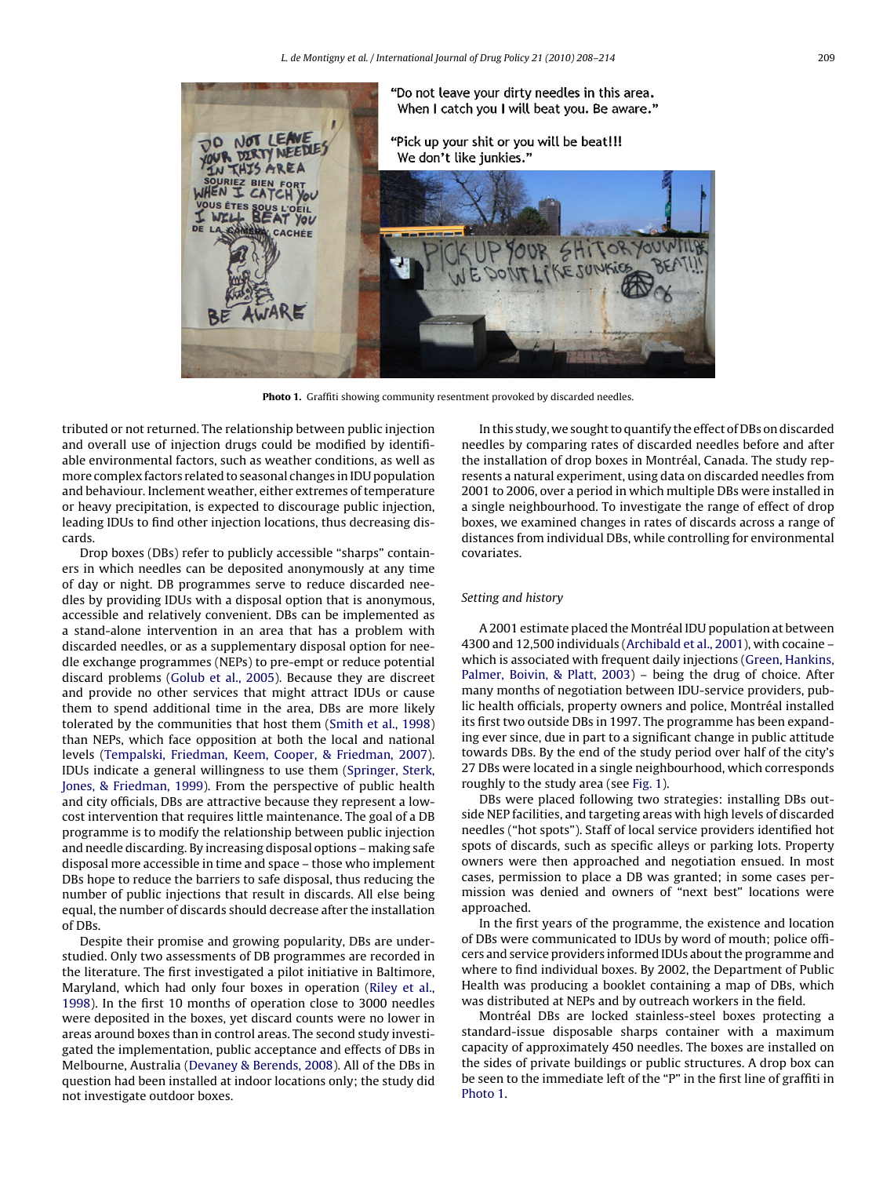<span id="page-1-0"></span>

**Photo 1.** Graffiti showing community resentment provoked by discarded needles.

tributed or not returned. The relationship between public injection and overall use of injection drugs could be modified by identifiable environmental factors, such as weather conditions, as well as more complex factors related to seasonal changes in IDU population and behaviour. Inclement weather, either extremes of temperature or heavy precipitation, is expected to discourage public injection, leading IDUs to find other injection locations, thus decreasing discards.

Drop boxes (DBs) refer to publicly accessible "sharps" containers in which needles can be deposited anonymously at any time of day or night. DB programmes serve to reduce discarded needles by providing IDUs with a disposal option that is anonymous, accessible and relatively convenient. DBs can be implemented as a stand-alone intervention in an area that has a problem with discarded needles, or as a supplementary disposal option for needle exchange programmes (NEPs) to pre-empt or reduce potential discard problems [\(Golub et al., 2005\).](#page-6-0) Because they are discreet and provide no other services that might attract IDUs or cause them to spend additional time in the area, DBs are more likely tolerated by the communities that host them [\(Smith et al., 1998\)](#page-6-0) than NEPs, which face opposition at both the local and national levels ([Tempalski, Friedman, Keem, Cooper, & Friedman, 2007\).](#page-6-0) IDUs indicate a general willingness to use them [\(Springer, Sterk,](#page-6-0) [Jones, & Friedman, 1999\).](#page-6-0) From the perspective of public health and city officials, DBs are attractive because they represent a lowcost intervention that requires little maintenance. The goal of a DB programme is to modify the relationship between public injection and needle discarding. By increasing disposal options – making safe disposal more accessible in time and space – those who implement DBs hope to reduce the barriers to safe disposal, thus reducing the number of public injections that result in discards. All else being equal, the number of discards should decrease after the installation of DBs.

Despite their promise and growing popularity, DBs are understudied. Only two assessments of DB programmes are recorded in the literature. The first investigated a pilot initiative in Baltimore, Maryland, which had only four boxes in operation [\(Riley et al.,](#page-6-0) [1998\).](#page-6-0) In the first 10 months of operation close to 3000 needles were deposited in the boxes, yet discard counts were no lower in areas around boxes than in control areas. The second study investigated the implementation, public acceptance and effects of DBs in Melbourne, Australia [\(Devaney & Berends, 2008\).](#page-6-0) All of the DBs in question had been installed at indoor locations only; the study did not investigate outdoor boxes.

In this study, we sought to quantify the effect of DBs on discarded needles by comparing rates of discarded needles before and after the installation of drop boxes in Montréal, Canada. The study represents a natural experiment, using data on discarded needles from 2001 to 2006, over a period in which multiple DBs were installed in a single neighbourhood. To investigate the range of effect of drop boxes, we examined changes in rates of discards across a range of distances from individual DBs, while controlling for environmental covariates.

# Setting and history

A 2001 estimate placed the Montréal IDU population at between 4300 and 12,500 individuals ([Archibald et al., 2001\),](#page-6-0) with cocaine – which is associated with frequent daily injections [\(Green, Hankins,](#page-6-0) [Palmer, Boivin, & Platt, 2003\)](#page-6-0) – being the drug of choice. After many months of negotiation between IDU-service providers, public health officials, property owners and police, Montréal installed its first two outside DBs in 1997. The programme has been expanding ever since, due in part to a significant change in public attitude towards DBs. By the end of the study period over half of the city's 27 DBs were located in a single neighbourhood, which corresponds roughly to the study area (see [Fig. 1\).](#page-2-0)

DBs were placed following two strategies: installing DBs outside NEP facilities, and targeting areas with high levels of discarded needles ("hot spots"). Staff of local service providers identified hot spots of discards, such as specific alleys or parking lots. Property owners were then approached and negotiation ensued. In most cases, permission to place a DB was granted; in some cases permission was denied and owners of "next best" locations were approached.

In the first years of the programme, the existence and location of DBs were communicated to IDUs by word of mouth; police officers and service providers informed IDUs about the programme and where to find individual boxes. By 2002, the Department of Public Health was producing a booklet containing a map of DBs, which was distributed at NEPs and by outreach workers in the field.

Montréal DBs are locked stainless-steel boxes protecting a standard-issue disposable sharps container with a maximum capacity of approximately 450 needles. The boxes are installed on the sides of private buildings or public structures. A drop box can be seen to the immediate left of the "P" in the first line of graffiti in Photo 1.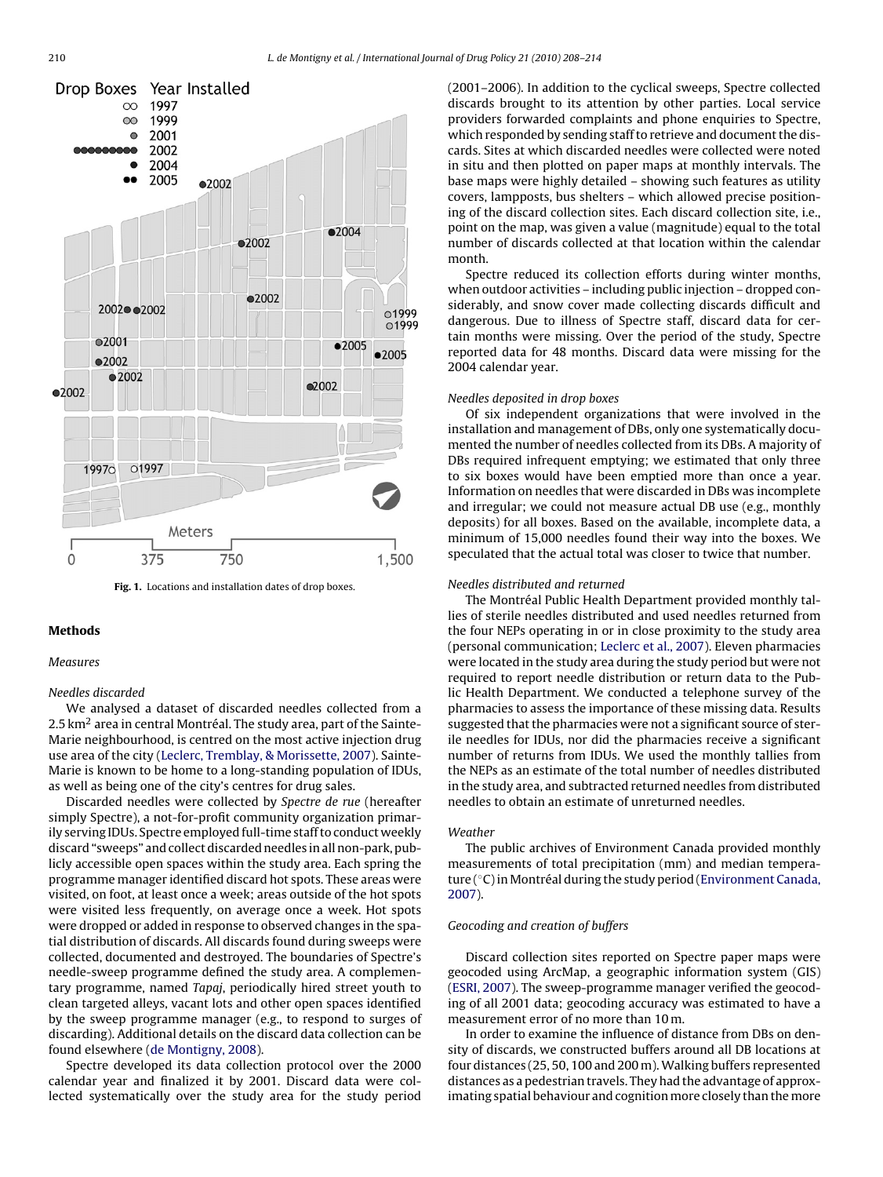<span id="page-2-0"></span>

**Fig. 1.** Locations and installation dates of drop boxes.

# **Methods**

#### Measures

#### Needles discarded

We analysed a dataset of discarded needles collected from a 2.5 km<sup>2</sup> area in central Montréal. The study area, part of the Sainte-Marie neighbourhood, is centred on the most active injection drug use area of the city ([Leclerc, Tremblay, & Morissette, 2007\).](#page-6-0) Sainte-Marie is known to be home to a long-standing population of IDUs, as well as being one of the city's centres for drug sales.

Discarded needles were collected by Spectre de rue (hereafter simply Spectre), a not-for-profit community organization primarily serving IDUs. Spectre employed full-time staff to conduct weekly discard "sweeps" and collect discarded needles in all non-park, publicly accessible open spaces within the study area. Each spring the programme manager identified discard hot spots. These areas were visited, on foot, at least once a week; areas outside of the hot spots were visited less frequently, on average once a week. Hot spots were dropped or added in response to observed changes in the spatial distribution of discards. All discards found during sweeps were collected, documented and destroyed. The boundaries of Spectre's needle-sweep programme defined the study area. A complementary programme, named Tapaj, periodically hired street youth to clean targeted alleys, vacant lots and other open spaces identified by the sweep programme manager (e.g., to respond to surges of discarding). Additional details on the discard data collection can be found elsewhere [\(de Montigny, 2008\).](#page-6-0)

Spectre developed its data collection protocol over the 2000 calendar year and finalized it by 2001. Discard data were collected systematically over the study area for the study period (2001–2006). In addition to the cyclical sweeps, Spectre collected discards brought to its attention by other parties. Local service providers forwarded complaints and phone enquiries to Spectre, which responded by sending staff to retrieve and document the discards. Sites at which discarded needles were collected were noted in situ and then plotted on paper maps at monthly intervals. The base maps were highly detailed – showing such features as utility covers, lampposts, bus shelters – which allowed precise positioning of the discard collection sites. Each discard collection site, i.e., point on the map, was given a value (magnitude) equal to the total number of discards collected at that location within the calendar month.

Spectre reduced its collection efforts during winter months, when outdoor activities – including public injection – dropped considerably, and snow cover made collecting discards difficult and dangerous. Due to illness of Spectre staff, discard data for certain months were missing. Over the period of the study, Spectre reported data for 48 months. Discard data were missing for the 2004 calendar year.

#### Needles deposited in drop boxes

Of six independent organizations that were involved in the installation and management of DBs, only one systematically documented the number of needles collected from its DBs. A majority of DBs required infrequent emptying; we estimated that only three to six boxes would have been emptied more than once a year. Information on needles that were discarded in DBs was incomplete and irregular; we could not measure actual DB use (e.g., monthly deposits) for all boxes. Based on the available, incomplete data, a minimum of 15,000 needles found their way into the boxes. We speculated that the actual total was closer to twice that number.

#### Needles distributed and returned

The Montréal Public Health Department provided monthly tallies of sterile needles distributed and used needles returned from the four NEPs operating in or in close proximity to the study area (personal communication; [Leclerc et al., 2007\).](#page-6-0) Eleven pharmacies were located in the study area during the study period but were not required to report needle distribution or return data to the Public Health Department. We conducted a telephone survey of the pharmacies to assess the importance of these missing data. Results suggested that the pharmacies were not a significant source of sterile needles for IDUs, nor did the pharmacies receive a significant number of returns from IDUs. We used the monthly tallies from the NEPs as an estimate of the total number of needles distributed in the study area, and subtracted returned needles from distributed needles to obtain an estimate of unreturned needles.

# Weather

The public archives of Environment Canada provided monthly measurements of total precipitation (mm) and median temperature (◦C) in Montréal during the study period ([Environment Canada,](#page-6-0) [2007\).](#page-6-0)

#### Geocoding and creation of buffers

Discard collection sites reported on Spectre paper maps were geocoded using ArcMap, a geographic information system (GIS) [\(ESRI, 2007\).](#page-6-0) The sweep-programme manager verified the geocoding of all 2001 data; geocoding accuracy was estimated to have a measurement error of no more than 10 m.

In order to examine the influence of distance from DBs on density of discards, we constructed buffers around all DB locations at four distances (25, 50, 100 and 200 m). Walking buffers represented distances as a pedestrian travels. They had the advantage of approximating spatial behaviour and cognition more closely than the more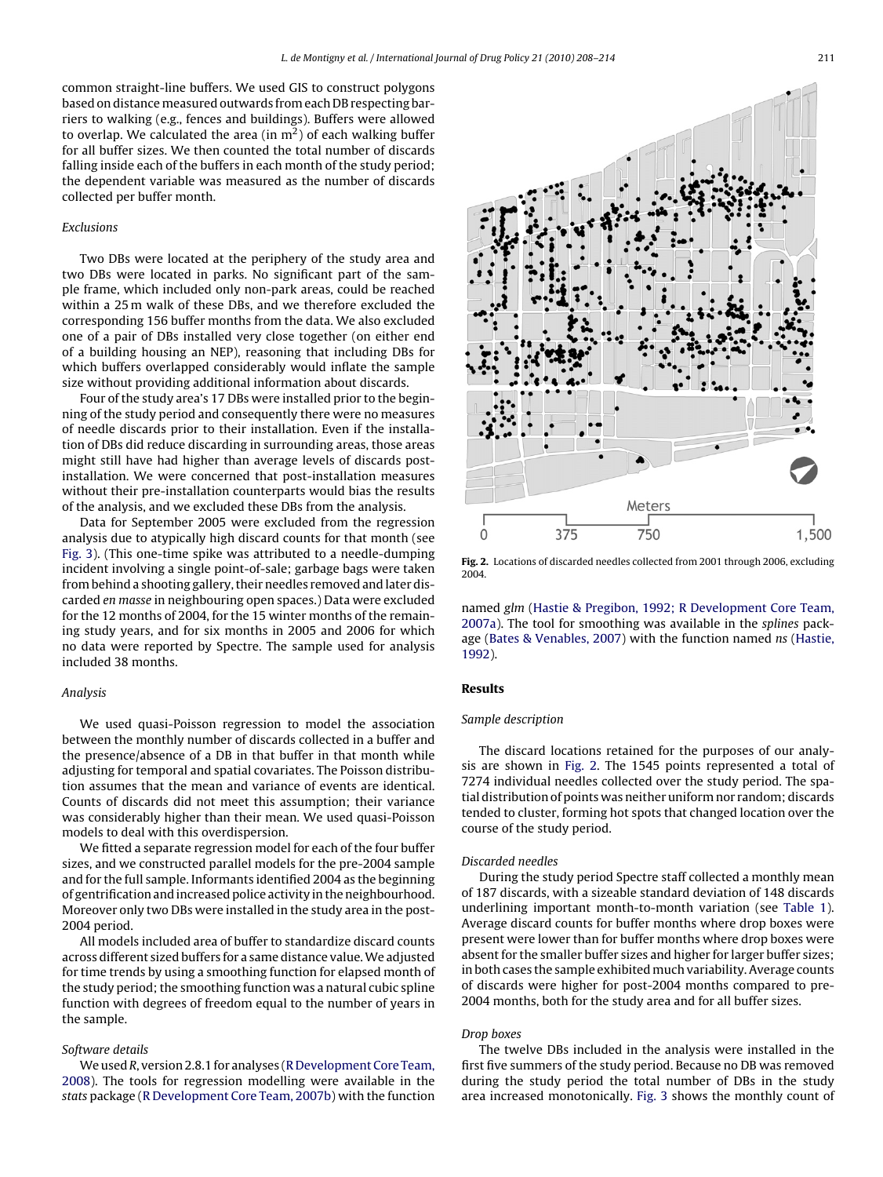common straight-line buffers. We used GIS to construct polygons based on distance measured outwards from each DB respecting barriers to walking (e.g., fences and buildings). Buffers were allowed to overlap. We calculated the area (in  $m<sup>2</sup>$ ) of each walking buffer for all buffer sizes. We then counted the total number of discards falling inside each of the buffers in each month of the study period; the dependent variable was measured as the number of discards collected per buffer month.

#### Exclusions

Two DBs were located at the periphery of the study area and two DBs were located in parks. No significant part of the sample frame, which included only non-park areas, could be reached within a 25 m walk of these DBs, and we therefore excluded the corresponding 156 buffer months from the data. We also excluded one of a pair of DBs installed very close together (on either end of a building housing an NEP), reasoning that including DBs for which buffers overlapped considerably would inflate the sample size without providing additional information about discards.

Four of the study area's 17 DBs were installed prior to the beginning of the study period and consequently there were no measures of needle discards prior to their installation. Even if the installation of DBs did reduce discarding in surrounding areas, those areas might still have had higher than average levels of discards postinstallation. We were concerned that post-installation measures without their pre-installation counterparts would bias the results of the analysis, and we excluded these DBs from the analysis.

Data for September 2005 were excluded from the regression analysis due to atypically high discard counts for that month (see [Fig. 3\).](#page-4-0) (This one-time spike was attributed to a needle-dumping incident involving a single point-of-sale; garbage bags were taken from behind a shooting gallery, their needles removed and later discarded en masse in neighbouring open spaces.) Data were excluded for the 12 months of 2004, for the 15 winter months of the remaining study years, and for six months in 2005 and 2006 for which no data were reported by Spectre. The sample used for analysis included 38 months.

#### Analysis

We used quasi-Poisson regression to model the association between the monthly number of discards collected in a buffer and the presence/absence of a DB in that buffer in that month while adjusting for temporal and spatial covariates. The Poisson distribution assumes that the mean and variance of events are identical. Counts of discards did not meet this assumption; their variance was considerably higher than their mean. We used quasi-Poisson models to deal with this overdispersion.

We fitted a separate regression model for each of the four buffer sizes, and we constructed parallel models for the pre-2004 sample and for the full sample. Informants identified 2004 as the beginning of gentrification and increased police activity in the neighbourhood. Moreover only two DBs were installed in the study area in the post-2004 period.

All models included area of buffer to standardize discard counts across different sized buffers for a same distance value.We adjusted for time trends by using a smoothing function for elapsed month of the study period; the smoothing function was a natural cubic spline function with degrees of freedom equal to the number of years in the sample.

# Software details

We used R, version 2.8.1 for analyses ([R Development Core Team,](#page-6-0) [2008\).](#page-6-0) The tools for regression modelling were available in the stats package [\(R Development Core Team, 2007b\)](#page-6-0) with the function



**Fig. 2.** Locations of discarded needles collected from 2001 through 2006, excluding 2004.

named glm ([Hastie & Pregibon, 1992; R Development Core Team,](#page-6-0) [2007a\).](#page-6-0) The tool for smoothing was available in the splines package [\(Bates & Venables, 2007\)](#page-6-0) with the function named ns ([Hastie,](#page-6-0) [1992\).](#page-6-0)

#### **Results**

#### Sample description

The discard locations retained for the purposes of our analysis are shown in Fig. 2. The 1545 points represented a total of 7274 individual needles collected over the study period. The spatial distribution of points was neither uniform nor random; discards tended to cluster, forming hot spots that changed location over the course of the study period.

#### Discarded needles

During the study period Spectre staff collected a monthly mean of 187 discards, with a sizeable standard deviation of 148 discards underlining important month-to-month variation (see [Table 1\)](#page-4-0). Average discard counts for buffer months where drop boxes were present were lower than for buffer months where drop boxes were absent for the smaller buffer sizes and higher for larger buffer sizes; in both cases the sample exhibited much variability. Average counts of discards were higher for post-2004 months compared to pre-2004 months, both for the study area and for all buffer sizes.

# Drop boxes

The twelve DBs included in the analysis were installed in the first five summers of the study period. Because no DB was removed during the study period the total number of DBs in the study area increased monotonically. [Fig. 3](#page-4-0) shows the monthly count of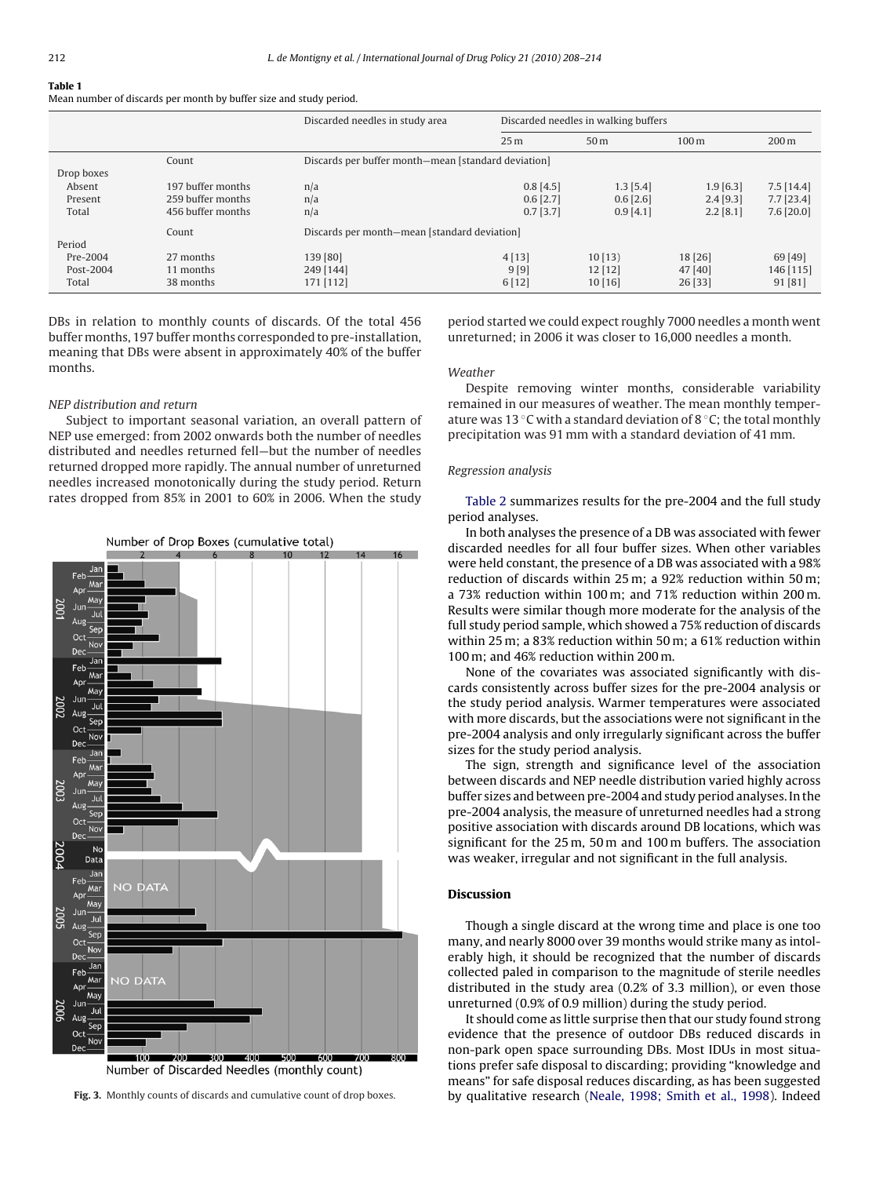# <span id="page-4-0"></span>**Table 1**

Mean number of discards per month by buffer size and study period.

|            |                   | Discarded needles in study area                     |                 | Discarded needles in walking buffers |                  |                  |
|------------|-------------------|-----------------------------------------------------|-----------------|--------------------------------------|------------------|------------------|
|            |                   |                                                     | 25 <sub>m</sub> | 50 <sub>m</sub>                      | 100 <sub>m</sub> | 200 <sub>m</sub> |
|            | Count             | Discards per buffer month–mean [standard deviation] |                 |                                      |                  |                  |
| Drop boxes |                   |                                                     |                 |                                      |                  |                  |
| Absent     | 197 buffer months | n/a                                                 | $0.8$ [4.5]     | $1.3$ [5.4]                          | $1.9$ [6.3]      | $7.5$ [14.4]     |
| Present    | 259 buffer months | n/a                                                 | $0.6$ [2.7]     | $0.6$ [2.6]                          | $2.4$ [9.3]      | $7.7$ [23.4]     |
| Total      | 456 buffer months | n/a                                                 | $0.7$ [3.7]     | 0.9[4.1]                             | $2.2$ [8.1]      | $7.6$ [20.0]     |
|            | Count             | Discards per month-mean [standard deviation]        |                 |                                      |                  |                  |
| Period     |                   |                                                     |                 |                                      |                  |                  |
| Pre-2004   | 27 months         | 139 [80]                                            | 4[13]           | 10[13]                               | 18 [26]          | 69 [49]          |
| Post-2004  | 11 months         | 249 [144]                                           | 9[9]            | 12[12]                               | 47 [40]          | 146 [115]        |
| Total      | 38 months         | 171 [112]                                           | 6[12]           | 10[16]                               | 26 [33]          | 91 [81]          |

DBs in relation to monthly counts of discards. Of the total 456 buffer months, 197 buffer months corresponded to pre-installation, meaning that DBs were absent in approximately 40% of the buffer months.

#### NEP distribution and return

Subject to important seasonal variation, an overall pattern of NEP use emerged: from 2002 onwards both the number of needles distributed and needles returned fell—but the number of needles returned dropped more rapidly. The annual number of unreturned needles increased monotonically during the study period. Return rates dropped from 85% in 2001 to 60% in 2006. When the study



Number of Discarded Needles (monthly count)

**Fig. 3.** Monthly counts of discards and cumulative count of drop boxes.

period started we could expect roughly 7000 needles a month went unreturned; in 2006 it was closer to 16,000 needles a month.

#### **Weather**

Despite removing winter months, considerable variability remained in our measures of weather. The mean monthly temperature was 13 ◦C with a standard deviation of 8 ◦C; the total monthly precipitation was 91 mm with a standard deviation of 41 mm.

#### Regression analysis

[Table 2](#page-5-0) summarizes results for the pre-2004 and the full study period analyses.

In both analyses the presence of a DB was associated with fewer discarded needles for all four buffer sizes. When other variables were held constant, the presence of a DB was associated with a 98% reduction of discards within 25 m; a 92% reduction within 50 m; a 73% reduction within 100 m; and 71% reduction within 200 m. Results were similar though more moderate for the analysis of the full study period sample, which showed a 75% reduction of discards within 25 m; a 83% reduction within 50 m; a 61% reduction within 100 m; and 46% reduction within 200 m.

None of the covariates was associated significantly with discards consistently across buffer sizes for the pre-2004 analysis or the study period analysis. Warmer temperatures were associated with more discards, but the associations were not significant in the pre-2004 analysis and only irregularly significant across the buffer sizes for the study period analysis.

The sign, strength and significance level of the association between discards and NEP needle distribution varied highly across buffer sizes and between pre-2004 and study period analyses. In the pre-2004 analysis, the measure of unreturned needles had a strong positive association with discards around DB locations, which was significant for the 25 m, 50 m and 100 m buffers. The association was weaker, irregular and not significant in the full analysis.

# **Discussion**

Though a single discard at the wrong time and place is one too many, and nearly 8000 over 39 months would strike many as intolerably high, it should be recognized that the number of discards collected paled in comparison to the magnitude of sterile needles distributed in the study area (0.2% of 3.3 million), or even those unreturned (0.9% of 0.9 million) during the study period.

It should come as little surprise then that our study found strong evidence that the presence of outdoor DBs reduced discards in non-park open space surrounding DBs. Most IDUs in most situations prefer safe disposal to discarding; providing "knowledge and means" for safe disposal reduces discarding, as has been suggested by qualitative research ([Neale, 1998; Smith et al., 1998\).](#page-6-0) Indeed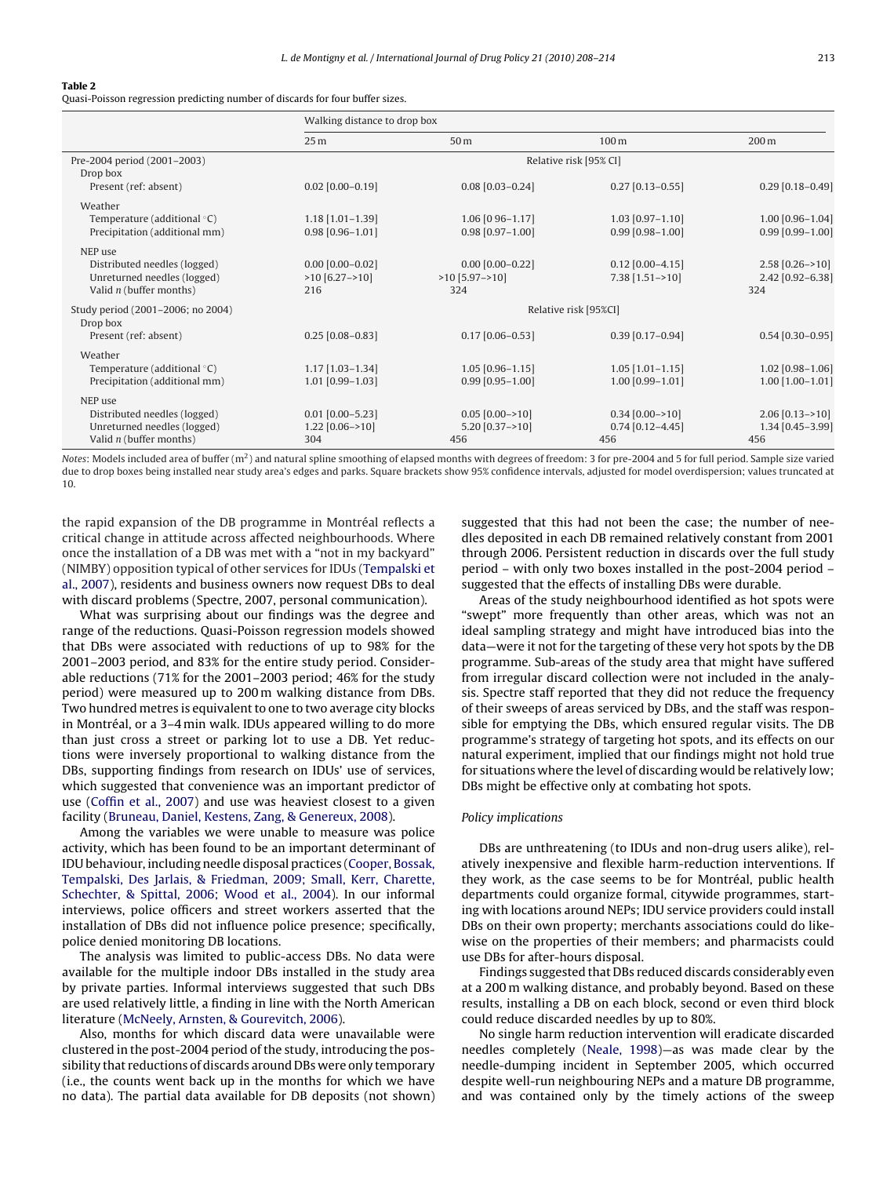#### <span id="page-5-0"></span>**Table 2**

Quasi-Poisson regression predicting number of discards for four buffer sizes.

|                                                                                                     | Walking distance to drop box                      |                                                   |                                                                   |                                                 |  |  |
|-----------------------------------------------------------------------------------------------------|---------------------------------------------------|---------------------------------------------------|-------------------------------------------------------------------|-------------------------------------------------|--|--|
|                                                                                                     | 25 <sub>m</sub>                                   | 50 <sub>m</sub>                                   | 100 <sub>m</sub>                                                  | 200 <sub>m</sub>                                |  |  |
| Pre-2004 period (2001-2003)<br>Drop box                                                             |                                                   | Relative risk [95% CI]                            |                                                                   |                                                 |  |  |
| Present (ref: absent)                                                                               | $0.02$ [0.00-0.19]                                | $0.08$ [0.03-0.24]                                | $0.27$ [0.13-0.55]                                                | $0.29$ [0.18-0.49]                              |  |  |
| Weather<br>Temperature (additional $°C$ )<br>Precipitation (additional mm)                          | $1.18$ [1.01-1.39]<br>$0.98$ [0.96-1.01]          | $1.06$ [0 96-1.17]<br>$0.98$ [0.97-1.00]          | $1.03$ [0.97-1.10]<br>$0.99$ [0.98-1.00]                          | $1.00$ [0.96-1.04]<br>$0.99$ [0.99-1.00]        |  |  |
| NEP use<br>Distributed needles (logged)<br>Unreturned needles (logged)<br>Valid $n$ (buffer months) | $0.00$ [0.00-0.02]<br>$>10$ [6.27- $>10$ ]<br>216 | $0.00$ [0.00-0.22]<br>$>10$ [5.97- $>10$ ]<br>324 | $0.12$ [0.00-4.15]<br>$7.38$ [1.51->10]                           | $2.58$ [0.26 - > 10]<br>2.42 [0.92-6.38]<br>324 |  |  |
| Study period (2001-2006; no 2004)<br>Drop box<br>Present (ref: absent)                              | $0.25$ [0.08-0.83]                                | $0.17$ [0.06-0.53]                                | Relative risk [95%CI]<br>$0.54$ [0.30-0.95]<br>$0.39$ [0.17-0.94] |                                                 |  |  |
| Weather                                                                                             |                                                   |                                                   |                                                                   |                                                 |  |  |
| Temperature (additional $\circ$ C)<br>Precipitation (additional mm)                                 | $1.17$ [1.03-1.34]<br>$1.01$ [0.99-1.03]          | $1.05$ [0.96-1.15]<br>$0.99$ [0.95-1.00]          | $1.05$ [1.01-1.15]<br>$1.00$ [0.99-1.01]                          | $1.02$ [0.98-1.06]<br>$1.00$ [1.00-1.01]        |  |  |
| NEP use                                                                                             |                                                   |                                                   |                                                                   |                                                 |  |  |
| Distributed needles (logged)<br>Unreturned needles (logged)                                         | $0.01$ [0.00-5.23]<br>$1.22$ [0.06->10]           | $0.05$ [0.00->10]<br>$5.20$ [0.37->10]            | $0.34$ [0.00->10]<br>$0.74$ [0.12-4.45]<br>456                    | $2.06$ [0.13->10]<br>1.34 [0.45-3.99]           |  |  |
| Valid $n$ (buffer months)                                                                           | 304                                               | 456                                               |                                                                   | 456                                             |  |  |

Notes: Models included area of buffer (m2) and natural spline smoothing of elapsed months with degrees of freedom: 3 for pre-2004 and 5 for full period. Sample size varied due to drop boxes being installed near study area's edges and parks. Square brackets show 95% confidence intervals, adjusted for model overdispersion; values truncated at 10.

the rapid expansion of the DB programme in Montréal reflects a critical change in attitude across affected neighbourhoods. Where once the installation of a DB was met with a "not in my backyard" (NIMBY) opposition typical of other services for IDUs [\(Tempalski et](#page-6-0) [al., 2007\),](#page-6-0) residents and business owners now request DBs to deal with discard problems (Spectre, 2007, personal communication).

What was surprising about our findings was the degree and range of the reductions. Quasi-Poisson regression models showed that DBs were associated with reductions of up to 98% for the 2001–2003 period, and 83% for the entire study period. Considerable reductions (71% for the 2001–2003 period; 46% for the study period) were measured up to 200 m walking distance from DBs. Two hundred metres is equivalent to one to two average city blocks in Montréal, or a 3–4 min walk. IDUs appeared willing to do more than just cross a street or parking lot to use a DB. Yet reductions were inversely proportional to walking distance from the DBs, supporting findings from research on IDUs' use of services, which suggested that convenience was an important predictor of use [\(Coffin et al., 2007\)](#page-6-0) and use was heaviest closest to a given facility [\(Bruneau, Daniel, Kestens, Zang, & Genereux, 2008\).](#page-6-0)

Among the variables we were unable to measure was police activity, which has been found to be an important determinant of IDU behaviour, including needle disposal practices [\(Cooper, Bossak,](#page-6-0) [Tempalski, Des Jarlais, & Friedman, 2009; Small, Kerr, Charette,](#page-6-0) [Schechter, & Spittal, 2006; Wood et al., 2004\).](#page-6-0) In our informal interviews, police officers and street workers asserted that the installation of DBs did not influence police presence; specifically, police denied monitoring DB locations.

The analysis was limited to public-access DBs. No data were available for the multiple indoor DBs installed in the study area by private parties. Informal interviews suggested that such DBs are used relatively little, a finding in line with the North American literature [\(McNeely, Arnsten, & Gourevitch, 2006\).](#page-6-0)

Also, months for which discard data were unavailable were clustered in the post-2004 period of the study, introducing the possibility that reductions of discards around DBs were only temporary (i.e., the counts went back up in the months for which we have no data). The partial data available for DB deposits (not shown) suggested that this had not been the case; the number of needles deposited in each DB remained relatively constant from 2001 through 2006. Persistent reduction in discards over the full study period – with only two boxes installed in the post-2004 period – suggested that the effects of installing DBs were durable.

Areas of the study neighbourhood identified as hot spots were "swept" more frequently than other areas, which was not an ideal sampling strategy and might have introduced bias into the data—were it not for the targeting of these very hot spots by the DB programme. Sub-areas of the study area that might have suffered from irregular discard collection were not included in the analysis. Spectre staff reported that they did not reduce the frequency of their sweeps of areas serviced by DBs, and the staff was responsible for emptying the DBs, which ensured regular visits. The DB programme's strategy of targeting hot spots, and its effects on our natural experiment, implied that our findings might not hold true for situations where the level of discarding would be relatively low; DBs might be effective only at combating hot spots.

# Policy implications

DBs are unthreatening (to IDUs and non-drug users alike), relatively inexpensive and flexible harm-reduction interventions. If they work, as the case seems to be for Montréal, public health departments could organize formal, citywide programmes, starting with locations around NEPs; IDU service providers could install DBs on their own property; merchants associations could do likewise on the properties of their members; and pharmacists could use DBs for after-hours disposal.

Findings suggested that DBs reduced discards considerably even at a 200 m walking distance, and probably beyond. Based on these results, installing a DB on each block, second or even third block could reduce discarded needles by up to 80%.

No single harm reduction intervention will eradicate discarded needles completely [\(Neale, 1998\)—](#page-6-0)as was made clear by the needle-dumping incident in September 2005, which occurred despite well-run neighbouring NEPs and a mature DB programme, and was contained only by the timely actions of the sweep